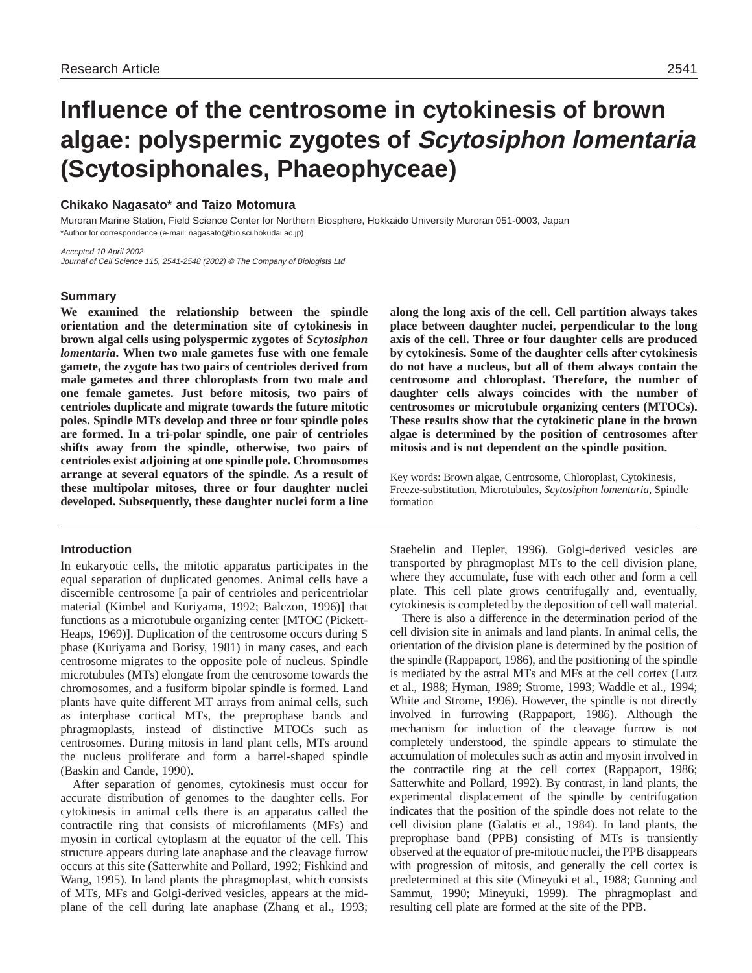# **Influence of the centrosome in cytokinesis of brown algae: polyspermic zygotes of Scytosiphon lomentaria (Scytosiphonales, Phaeophyceae)**

# **Chikako Nagasato\* and Taizo Motomura**

Muroran Marine Station, Field Science Center for Northern Biosphere, Hokkaido University Muroran 051-0003, Japan \*Author for correspondence (e-mail: nagasato@bio.sci.hokudai.ac.jp)

Accepted 10 April 2002 Journal of Cell Science 115, 2541-2548 (2002) © The Company of Biologists Ltd

# **Summary**

**We examined the relationship between the spindle orientation and the determination site of cytokinesis in brown algal cells using polyspermic zygotes of** *Scytosiphon lomentaria***. When two male gametes fuse with one female gamete, the zygote has two pairs of centrioles derived from male gametes and three chloroplasts from two male and one female gametes. Just before mitosis, two pairs of centrioles duplicate and migrate towards the future mitotic poles. Spindle MTs develop and three or four spindle poles are formed. In a tri-polar spindle, one pair of centrioles shifts away from the spindle, otherwise, two pairs of centrioles exist adjoining at one spindle pole. Chromosomes arrange at several equators of the spindle. As a result of these multipolar mitoses, three or four daughter nuclei developed. Subsequently, these daughter nuclei form a line**

# **Introduction**

In eukaryotic cells, the mitotic apparatus participates in the equal separation of duplicated genomes. Animal cells have a discernible centrosome [a pair of centrioles and pericentriolar material (Kimbel and Kuriyama, 1992; Balczon, 1996)] that functions as a microtubule organizing center [MTOC (Pickett-Heaps, 1969)]. Duplication of the centrosome occurs during S phase (Kuriyama and Borisy, 1981) in many cases, and each centrosome migrates to the opposite pole of nucleus. Spindle microtubules (MTs) elongate from the centrosome towards the chromosomes, and a fusiform bipolar spindle is formed. Land plants have quite different MT arrays from animal cells, such as interphase cortical MTs, the preprophase bands and phragmoplasts, instead of distinctive MTOCs such as centrosomes. During mitosis in land plant cells, MTs around the nucleus proliferate and form a barrel-shaped spindle (Baskin and Cande, 1990).

After separation of genomes, cytokinesis must occur for accurate distribution of genomes to the daughter cells. For cytokinesis in animal cells there is an apparatus called the contractile ring that consists of microfilaments (MFs) and myosin in cortical cytoplasm at the equator of the cell. This structure appears during late anaphase and the cleavage furrow occurs at this site (Satterwhite and Pollard, 1992; Fishkind and Wang, 1995). In land plants the phragmoplast, which consists of MTs, MFs and Golgi-derived vesicles, appears at the midplane of the cell during late anaphase (Zhang et al., 1993; **along the long axis of the cell. Cell partition always takes place between daughter nuclei, perpendicular to the long axis of the cell. Three or four daughter cells are produced by cytokinesis. Some of the daughter cells after cytokinesis do not have a nucleus, but all of them always contain the centrosome and chloroplast. Therefore, the number of daughter cells always coincides with the number of centrosomes or microtubule organizing centers (MTOCs). These results show that the cytokinetic plane in the brown algae is determined by the position of centrosomes after mitosis and is not dependent on the spindle position.** 

Key words: Brown algae, Centrosome, Chloroplast, Cytokinesis, Freeze-substitution, Microtubules, *Scytosiphon lomentaria*, Spindle formation

Staehelin and Hepler, 1996). Golgi-derived vesicles are transported by phragmoplast MTs to the cell division plane, where they accumulate, fuse with each other and form a cell plate. This cell plate grows centrifugally and, eventually, cytokinesis is completed by the deposition of cell wall material.

There is also a difference in the determination period of the cell division site in animals and land plants. In animal cells, the orientation of the division plane is determined by the position of the spindle (Rappaport, 1986), and the positioning of the spindle is mediated by the astral MTs and MFs at the cell cortex (Lutz et al., 1988; Hyman, 1989; Strome, 1993; Waddle et al., 1994; White and Strome, 1996). However, the spindle is not directly involved in furrowing (Rappaport, 1986). Although the mechanism for induction of the cleavage furrow is not completely understood, the spindle appears to stimulate the accumulation of molecules such as actin and myosin involved in the contractile ring at the cell cortex (Rappaport, 1986; Satterwhite and Pollard, 1992). By contrast, in land plants, the experimental displacement of the spindle by centrifugation indicates that the position of the spindle does not relate to the cell division plane (Galatis et al., 1984). In land plants, the preprophase band (PPB) consisting of MTs is transiently observed at the equator of pre-mitotic nuclei, the PPB disappears with progression of mitosis, and generally the cell cortex is predetermined at this site (Mineyuki et al., 1988; Gunning and Sammut, 1990; Mineyuki, 1999). The phragmoplast and resulting cell plate are formed at the site of the PPB.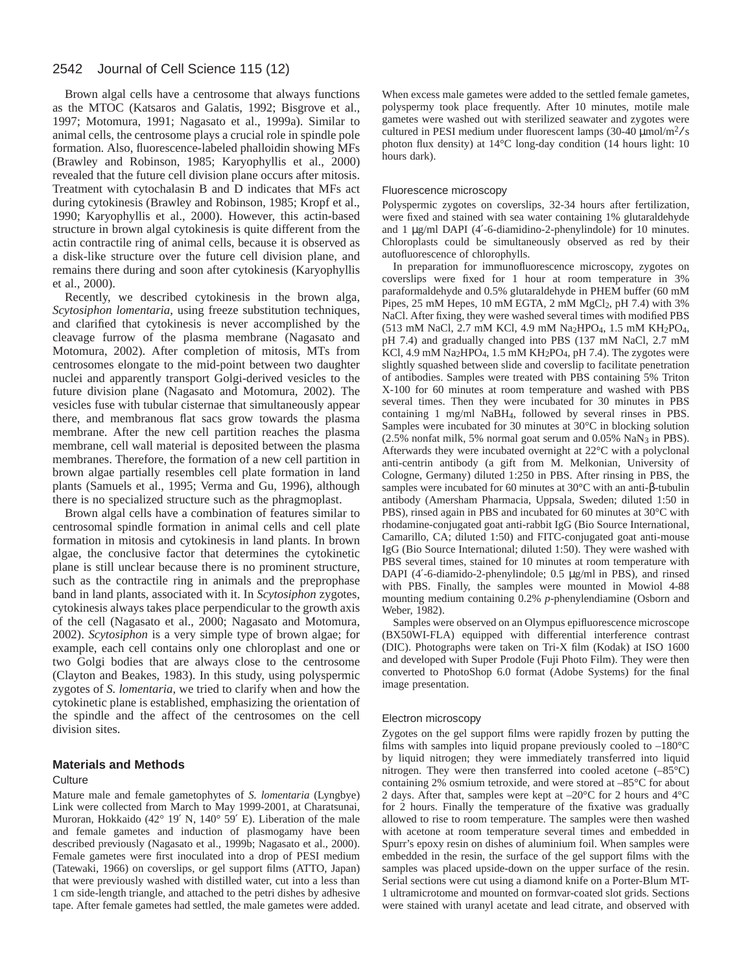# 2542 Journal of Cell Science 115 (12)

Brown algal cells have a centrosome that always functions as the MTOC (Katsaros and Galatis, 1992; Bisgrove et al., 1997; Motomura, 1991; Nagasato et al., 1999a). Similar to animal cells, the centrosome plays a crucial role in spindle pole formation. Also, fluorescence-labeled phalloidin showing MFs (Brawley and Robinson, 1985; Karyophyllis et al., 2000) revealed that the future cell division plane occurs after mitosis. Treatment with cytochalasin B and D indicates that MFs act during cytokinesis (Brawley and Robinson, 1985; Kropf et al., 1990; Karyophyllis et al., 2000). However, this actin-based structure in brown algal cytokinesis is quite different from the actin contractile ring of animal cells, because it is observed as a disk-like structure over the future cell division plane, and remains there during and soon after cytokinesis (Karyophyllis et al., 2000).

Recently, we described cytokinesis in the brown alga, *Scytosiphon lomentaria*, using freeze substitution techniques, and clarified that cytokinesis is never accomplished by the cleavage furrow of the plasma membrane (Nagasato and Motomura, 2002). After completion of mitosis, MTs from centrosomes elongate to the mid-point between two daughter nuclei and apparently transport Golgi-derived vesicles to the future division plane (Nagasato and Motomura, 2002). The vesicles fuse with tubular cisternae that simultaneously appear there, and membranous flat sacs grow towards the plasma membrane. After the new cell partition reaches the plasma membrane, cell wall material is deposited between the plasma membranes. Therefore, the formation of a new cell partition in brown algae partially resembles cell plate formation in land plants (Samuels et al., 1995; Verma and Gu, 1996), although there is no specialized structure such as the phragmoplast.

Brown algal cells have a combination of features similar to centrosomal spindle formation in animal cells and cell plate formation in mitosis and cytokinesis in land plants. In brown algae, the conclusive factor that determines the cytokinetic plane is still unclear because there is no prominent structure, such as the contractile ring in animals and the preprophase band in land plants, associated with it. In *Scytosiphon* zygotes, cytokinesis always takes place perpendicular to the growth axis of the cell (Nagasato et al., 2000; Nagasato and Motomura, 2002). *Scytosiphon* is a very simple type of brown algae; for example, each cell contains only one chloroplast and one or two Golgi bodies that are always close to the centrosome (Clayton and Beakes, 1983). In this study, using polyspermic zygotes of *S. lomentaria*, we tried to clarify when and how the cytokinetic plane is established, emphasizing the orientation of the spindle and the affect of the centrosomes on the cell division sites.

## **Materials and Methods**

### **Culture**

Mature male and female gametophytes of *S. lomentaria* (Lyngbye) Link were collected from March to May 1999-2001, at Charatsunai, Muroran, Hokkaido (42° 19′ N, 140° 59′ E). Liberation of the male and female gametes and induction of plasmogamy have been described previously (Nagasato et al., 1999b; Nagasato et al., 2000). Female gametes were first inoculated into a drop of PESI medium (Tatewaki, 1966) on coverslips, or gel support films (ATTO, Japan) that were previously washed with distilled water, cut into a less than 1 cm side-length triangle, and attached to the petri dishes by adhesive tape. After female gametes had settled, the male gametes were added.

When excess male gametes were added to the settled female gametes, polyspermy took place frequently. After 10 minutes, motile male gametes were washed out with sterilized seawater and zygotes were cultured in PESI medium under fluorescent lamps  $(30-40 \mu m o/m^2/s)$ photon flux density) at 14°C long-day condition (14 hours light: 10 hours dark).

### Fluorescence microscopy

Polyspermic zygotes on coverslips, 32-34 hours after fertilization, were fixed and stained with sea water containing 1% glutaraldehyde and 1 µg/ml DAPI (4'-6-diamidino-2-phenylindole) for 10 minutes. Chloroplasts could be simultaneously observed as red by their autofluorescence of chlorophylls.

In preparation for immunofluorescence microscopy, zygotes on coverslips were fixed for 1 hour at room temperature in 3% paraformaldehyde and 0.5% glutaraldehyde in PHEM buffer (60 mM Pipes, 25 mM Hepes, 10 mM EGTA, 2 mM MgCl<sub>2</sub>, pH 7.4) with 3% NaCl. After fixing, they were washed several times with modified PBS (513 mM NaCl, 2.7 mM KCl, 4.9 mM Na2HPO4, 1.5 mM KH2PO4, pH 7.4) and gradually changed into PBS (137 mM NaCl, 2.7 mM KCl, 4.9 mM Na<sub>2</sub>HPO<sub>4</sub>, 1.5 mM KH<sub>2</sub>PO<sub>4</sub>, pH 7.4). The zygotes were slightly squashed between slide and coverslip to facilitate penetration of antibodies. Samples were treated with PBS containing 5% Triton X-100 for 60 minutes at room temperature and washed with PBS several times. Then they were incubated for 30 minutes in PBS containing 1 mg/ml NaBH4, followed by several rinses in PBS. Samples were incubated for 30 minutes at 30°C in blocking solution (2.5% nonfat milk, 5% normal goat serum and 0.05% NaN3 in PBS). Afterwards they were incubated overnight at 22°C with a polyclonal anti-centrin antibody (a gift from M. Melkonian, University of Cologne, Germany) diluted 1:250 in PBS. After rinsing in PBS, the samples were incubated for 60 minutes at 30°C with an anti-β-tubulin antibody (Amersham Pharmacia, Uppsala, Sweden; diluted 1:50 in PBS), rinsed again in PBS and incubated for 60 minutes at 30°C with rhodamine-conjugated goat anti-rabbit IgG (Bio Source International, Camarillo, CA; diluted 1:50) and FITC-conjugated goat anti-mouse IgG (Bio Source International; diluted 1:50). They were washed with PBS several times, stained for 10 minutes at room temperature with DAPI (4'-6-diamido-2-phenylindole; 0.5 µg/ml in PBS), and rinsed with PBS. Finally, the samples were mounted in Mowiol 4-88 mounting medium containing 0.2% *p*-phenylendiamine (Osborn and Weber, 1982).

Samples were observed on an Olympus epifluorescence microscope (BX50WI-FLA) equipped with differential interference contrast (DIC). Photographs were taken on Tri-X film (Kodak) at ISO 1600 and developed with Super Prodole (Fuji Photo Film). They were then converted to PhotoShop 6.0 format (Adobe Systems) for the final image presentation.

#### Electron microscopy

Zygotes on the gel support films were rapidly frozen by putting the films with samples into liquid propane previously cooled to  $-180^{\circ}$ C by liquid nitrogen; they were immediately transferred into liquid nitrogen. They were then transferred into cooled acetone (–85°C) containing 2% osmium tetroxide, and were stored at –85°C for about 2 days. After that, samples were kept at –20°C for 2 hours and 4°C for 2 hours. Finally the temperature of the fixative was gradually allowed to rise to room temperature. The samples were then washed with acetone at room temperature several times and embedded in Spurr's epoxy resin on dishes of aluminium foil. When samples were embedded in the resin, the surface of the gel support films with the samples was placed upside-down on the upper surface of the resin. Serial sections were cut using a diamond knife on a Porter-Blum MT-1 ultramicrotome and mounted on formvar-coated slot grids. Sections were stained with uranyl acetate and lead citrate, and observed with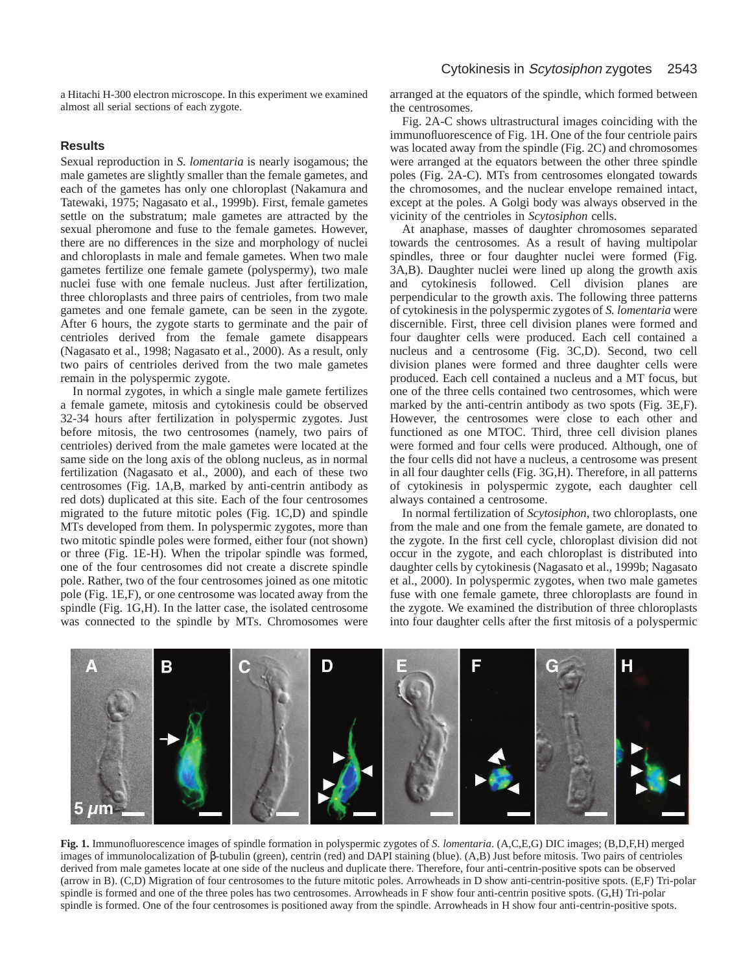a Hitachi H-300 electron microscope. In this experiment we examined almost all serial sections of each zygote.

# **Results**

Sexual reproduction in *S. lomentaria* is nearly isogamous; the male gametes are slightly smaller than the female gametes, and each of the gametes has only one chloroplast (Nakamura and Tatewaki, 1975; Nagasato et al., 1999b). First, female gametes settle on the substratum; male gametes are attracted by the sexual pheromone and fuse to the female gametes. However, there are no differences in the size and morphology of nuclei and chloroplasts in male and female gametes. When two male gametes fertilize one female gamete (polyspermy), two male nuclei fuse with one female nucleus. Just after fertilization, three chloroplasts and three pairs of centrioles, from two male gametes and one female gamete, can be seen in the zygote. After 6 hours, the zygote starts to germinate and the pair of centrioles derived from the female gamete disappears (Nagasato et al., 1998; Nagasato et al., 2000). As a result, only two pairs of centrioles derived from the two male gametes remain in the polyspermic zygote.

In normal zygotes, in which a single male gamete fertilizes a female gamete, mitosis and cytokinesis could be observed 32-34 hours after fertilization in polyspermic zygotes. Just before mitosis, the two centrosomes (namely, two pairs of centrioles) derived from the male gametes were located at the same side on the long axis of the oblong nucleus, as in normal fertilization (Nagasato et al., 2000), and each of these two centrosomes (Fig. 1A,B, marked by anti-centrin antibody as red dots) duplicated at this site. Each of the four centrosomes migrated to the future mitotic poles (Fig. 1C,D) and spindle MTs developed from them. In polyspermic zygotes, more than two mitotic spindle poles were formed, either four (not shown) or three (Fig. 1E-H). When the tripolar spindle was formed, one of the four centrosomes did not create a discrete spindle pole. Rather, two of the four centrosomes joined as one mitotic pole (Fig. 1E,F), or one centrosome was located away from the spindle (Fig. 1G,H). In the latter case, the isolated centrosome was connected to the spindle by MTs. Chromosomes were

arranged at the equators of the spindle, which formed between the centrosomes.

Fig. 2A-C shows ultrastructural images coinciding with the immunofluorescence of Fig. 1H. One of the four centriole pairs was located away from the spindle (Fig. 2C) and chromosomes were arranged at the equators between the other three spindle poles (Fig. 2A-C). MTs from centrosomes elongated towards the chromosomes, and the nuclear envelope remained intact, except at the poles. A Golgi body was always observed in the vicinity of the centrioles in *Scytosiphon* cells.

At anaphase, masses of daughter chromosomes separated towards the centrosomes. As a result of having multipolar spindles, three or four daughter nuclei were formed (Fig. 3A,B). Daughter nuclei were lined up along the growth axis and cytokinesis followed. Cell division planes are perpendicular to the growth axis. The following three patterns of cytokinesis in the polyspermic zygotes of *S. lomentaria* were discernible. First, three cell division planes were formed and four daughter cells were produced. Each cell contained a nucleus and a centrosome (Fig. 3C,D). Second, two cell division planes were formed and three daughter cells were produced. Each cell contained a nucleus and a MT focus, but one of the three cells contained two centrosomes, which were marked by the anti-centrin antibody as two spots (Fig. 3E,F). However, the centrosomes were close to each other and functioned as one MTOC. Third, three cell division planes were formed and four cells were produced. Although, one of the four cells did not have a nucleus, a centrosome was present in all four daughter cells (Fig. 3G,H). Therefore, in all patterns of cytokinesis in polyspermic zygote, each daughter cell always contained a centrosome.

In normal fertilization of *Scytosiphon*, two chloroplasts, one from the male and one from the female gamete, are donated to the zygote. In the first cell cycle, chloroplast division did not occur in the zygote, and each chloroplast is distributed into daughter cells by cytokinesis (Nagasato et al., 1999b; Nagasato et al., 2000). In polyspermic zygotes, when two male gametes fuse with one female gamete, three chloroplasts are found in the zygote. We examined the distribution of three chloroplasts into four daughter cells after the first mitosis of a polyspermic



**Fig. 1.** Immunofluorescence images of spindle formation in polyspermic zygotes of *S. lomentaria*. (A,C,E,G) DIC images; (B,D,F,H) merged images of immunolocalization of β-tubulin (green), centrin (red) and DAPI staining (blue). (A,B) Just before mitosis. Two pairs of centrioles derived from male gametes locate at one side of the nucleus and duplicate there. Therefore, four anti-centrin-positive spots can be observed (arrow in B). (C,D) Migration of four centrosomes to the future mitotic poles. Arrowheads in D show anti-centrin-positive spots. (E,F) Tri-polar spindle is formed and one of the three poles has two centrosomes. Arrowheads in F show four anti-centrin positive spots. (G,H) Tri-polar spindle is formed. One of the four centrosomes is positioned away from the spindle. Arrowheads in H show four anti-centrin-positive spots.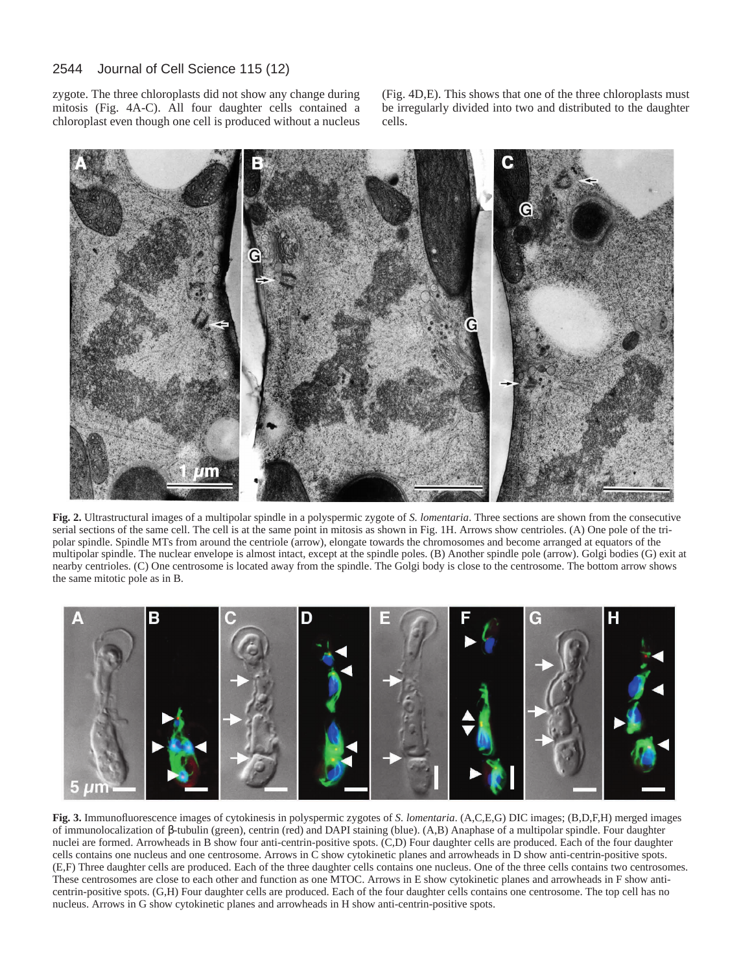#### 2544 Journal of Cell Science 115 (12)

zygote. The three chloroplasts did not show any change during mitosis (Fig. 4A-C). All four daughter cells contained a chloroplast even though one cell is produced without a nucleus

(Fig. 4D,E). This shows that one of the three chloroplasts must be irregularly divided into two and distributed to the daughter cells.



**Fig. 2.** Ultrastructural images of a multipolar spindle in a polyspermic zygote of *S. lomentaria*. Three sections are shown from the consecutive serial sections of the same cell. The cell is at the same point in mitosis as shown in Fig. 1H. Arrows show centrioles. (A) One pole of the tripolar spindle. Spindle MTs from around the centriole (arrow), elongate towards the chromosomes and become arranged at equators of the multipolar spindle. The nuclear envelope is almost intact, except at the spindle poles. (B) Another spindle pole (arrow). Golgi bodies (G) exit at nearby centrioles. (C) One centrosome is located away from the spindle. The Golgi body is close to the centrosome. The bottom arrow shows the same mitotic pole as in B.



**Fig. 3.** Immunofluorescence images of cytokinesis in polyspermic zygotes of *S. lomentaria*. (A,C,E,G) DIC images; (B,D,F,H) merged images of immunolocalization of β-tubulin (green), centrin (red) and DAPI staining (blue). (A,B) Anaphase of a multipolar spindle. Four daughter nuclei are formed. Arrowheads in B show four anti-centrin-positive spots. (C,D) Four daughter cells are produced. Each of the four daughter cells contains one nucleus and one centrosome. Arrows in C show cytokinetic planes and arrowheads in D show anti-centrin-positive spots. (E,F) Three daughter cells are produced. Each of the three daughter cells contains one nucleus. One of the three cells contains two centrosomes. These centrosomes are close to each other and function as one MTOC. Arrows in E show cytokinetic planes and arrowheads in F show anticentrin-positive spots. (G,H) Four daughter cells are produced. Each of the four daughter cells contains one centrosome. The top cell has no nucleus. Arrows in G show cytokinetic planes and arrowheads in H show anti-centrin-positive spots.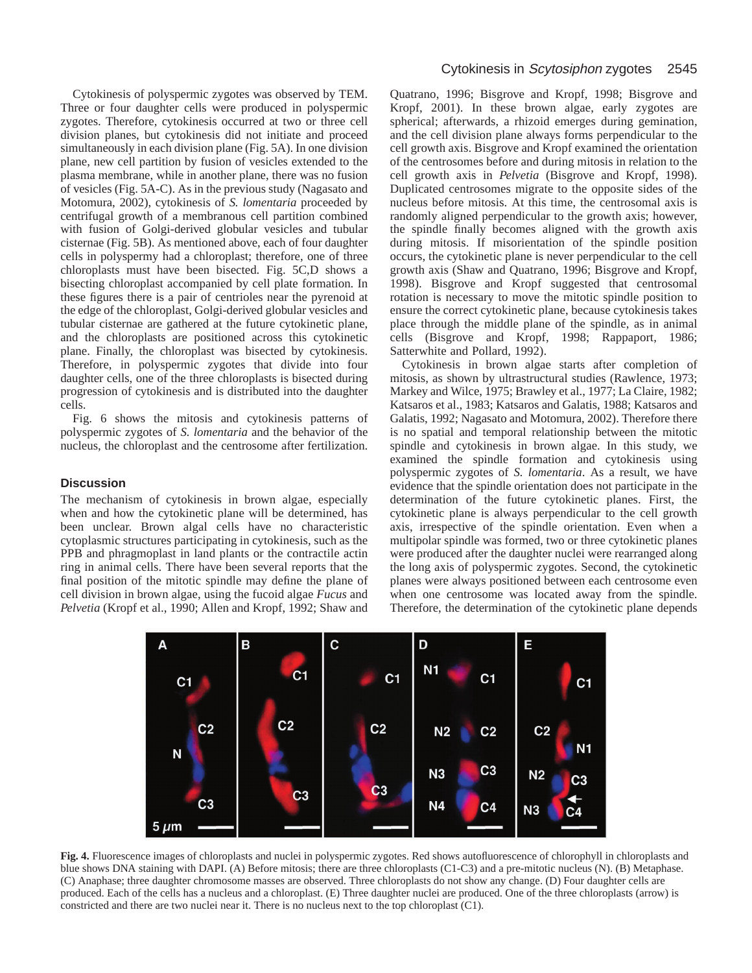Cytokinesis of polyspermic zygotes was observed by TEM. Three or four daughter cells were produced in polyspermic zygotes. Therefore, cytokinesis occurred at two or three cell division planes, but cytokinesis did not initiate and proceed simultaneously in each division plane (Fig. 5A). In one division plane, new cell partition by fusion of vesicles extended to the plasma membrane, while in another plane, there was no fusion of vesicles (Fig. 5A-C). As in the previous study (Nagasato and Motomura, 2002), cytokinesis of *S. lomentaria* proceeded by centrifugal growth of a membranous cell partition combined with fusion of Golgi-derived globular vesicles and tubular cisternae (Fig. 5B). As mentioned above, each of four daughter cells in polyspermy had a chloroplast; therefore, one of three chloroplasts must have been bisected. Fig. 5C,D shows a bisecting chloroplast accompanied by cell plate formation. In these figures there is a pair of centrioles near the pyrenoid at the edge of the chloroplast, Golgi-derived globular vesicles and tubular cisternae are gathered at the future cytokinetic plane, and the chloroplasts are positioned across this cytokinetic plane. Finally, the chloroplast was bisected by cytokinesis. Therefore, in polyspermic zygotes that divide into four daughter cells, one of the three chloroplasts is bisected during progression of cytokinesis and is distributed into the daughter cells.

Fig. 6 shows the mitosis and cytokinesis patterns of polyspermic zygotes of *S. lomentaria* and the behavior of the nucleus, the chloroplast and the centrosome after fertilization.

# **Discussion**

The mechanism of cytokinesis in brown algae, especially when and how the cytokinetic plane will be determined, has been unclear. Brown algal cells have no characteristic cytoplasmic structures participating in cytokinesis, such as the PPB and phragmoplast in land plants or the contractile actin ring in animal cells. There have been several reports that the final position of the mitotic spindle may define the plane of cell division in brown algae, using the fucoid algae *Fucus* and *Pelvetia* (Kropf et al., 1990; Allen and Kropf, 1992; Shaw and

Quatrano, 1996; Bisgrove and Kropf, 1998; Bisgrove and Kropf, 2001). In these brown algae, early zygotes are spherical; afterwards, a rhizoid emerges during gemination, and the cell division plane always forms perpendicular to the cell growth axis. Bisgrove and Kropf examined the orientation of the centrosomes before and during mitosis in relation to the cell growth axis in *Pelvetia* (Bisgrove and Kropf, 1998). Duplicated centrosomes migrate to the opposite sides of the nucleus before mitosis. At this time, the centrosomal axis is randomly aligned perpendicular to the growth axis; however, the spindle finally becomes aligned with the growth axis during mitosis. If misorientation of the spindle position occurs, the cytokinetic plane is never perpendicular to the cell growth axis (Shaw and Quatrano, 1996; Bisgrove and Kropf, 1998). Bisgrove and Kropf suggested that centrosomal rotation is necessary to move the mitotic spindle position to ensure the correct cytokinetic plane, because cytokinesis takes place through the middle plane of the spindle, as in animal cells (Bisgrove and Kropf, 1998; Rappaport, 1986; Satterwhite and Pollard, 1992).

Cytokinesis in brown algae starts after completion of mitosis, as shown by ultrastructural studies (Rawlence, 1973; Markey and Wilce, 1975; Brawley et al., 1977; La Claire, 1982; Katsaros et al., 1983; Katsaros and Galatis, 1988; Katsaros and Galatis, 1992; Nagasato and Motomura, 2002). Therefore there is no spatial and temporal relationship between the mitotic spindle and cytokinesis in brown algae. In this study, we examined the spindle formation and cytokinesis using polyspermic zygotes of *S. lomentaria*. As a result, we have evidence that the spindle orientation does not participate in the determination of the future cytokinetic planes. First, the cytokinetic plane is always perpendicular to the cell growth axis, irrespective of the spindle orientation. Even when a multipolar spindle was formed, two or three cytokinetic planes were produced after the daughter nuclei were rearranged along the long axis of polyspermic zygotes. Second, the cytokinetic planes were always positioned between each centrosome even when one centrosome was located away from the spindle. Therefore, the determination of the cytokinetic plane depends



**Fig. 4.** Fluorescence images of chloroplasts and nuclei in polyspermic zygotes. Red shows autofluorescence of chlorophyll in chloroplasts and blue shows DNA staining with DAPI. (A) Before mitosis; there are three chloroplasts (C1-C3) and a pre-mitotic nucleus (N). (B) Metaphase. (C) Anaphase; three daughter chromosome masses are observed. Three chloroplasts do not show any change. (D) Four daughter cells are produced. Each of the cells has a nucleus and a chloroplast. (E) Three daughter nuclei are produced. One of the three chloroplasts (arrow) is constricted and there are two nuclei near it. There is no nucleus next to the top chloroplast (C1).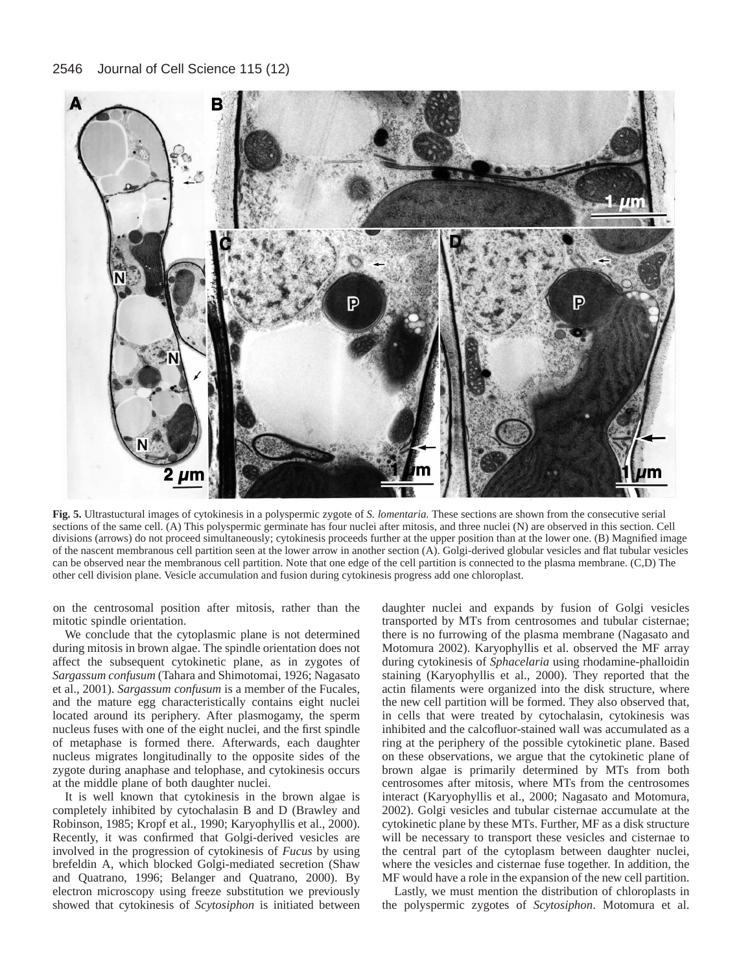

**Fig. 5.** Ultrastuctural images of cytokinesis in a polyspermic zygote of *S. lomentaria.* These sections are shown from the consecutive serial sections of the same cell. (A) This polyspermic germinate has four nuclei after mitosis, and three nuclei (N) are observed in this section. Cell divisions (arrows) do not proceed simultaneously; cytokinesis proceeds further at the upper position than at the lower one. (B) Magnified image of the nascent membranous cell partition seen at the lower arrow in another section (A). Golgi-derived globular vesicles and flat tubular vesicles can be observed near the membranous cell partition. Note that one edge of the cell partition is connected to the plasma membrane. (C,D) The other cell division plane. Vesicle accumulation and fusion during cytokinesis progress add one chloroplast.

on the centrosomal position after mitosis, rather than the mitotic spindle orientation.

We conclude that the cytoplasmic plane is not determined during mitosis in brown algae. The spindle orientation does not affect the subsequent cytokinetic plane, as in zygotes of *Sargassum confusum* (Tahara and Shimotomai, 1926; Nagasato et al., 2001). *Sargassum confusum* is a member of the Fucales, and the mature egg characteristically contains eight nuclei located around its periphery. After plasmogamy, the sperm nucleus fuses with one of the eight nuclei, and the first spindle of metaphase is formed there. Afterwards, each daughter nucleus migrates longitudinally to the opposite sides of the zygote during anaphase and telophase, and cytokinesis occurs at the middle plane of both daughter nuclei.

It is well known that cytokinesis in the brown algae is completely inhibited by cytochalasin B and D (Brawley and Robinson, 1985; Kropf et al., 1990; Karyophyllis et al., 2000). Recently, it was confirmed that Golgi-derived vesicles are involved in the progression of cytokinesis of *Fucus* by using brefeldin A, which blocked Golgi-mediated secretion (Shaw and Quatrano, 1996; Belanger and Quatrano, 2000). By electron microscopy using freeze substitution we previously showed that cytokinesis of *Scytosiphon* is initiated between

daughter nuclei and expands by fusion of Golgi vesicles transported by MTs from centrosomes and tubular cisternae; there is no furrowing of the plasma membrane (Nagasato and Motomura 2002). Karyophyllis et al. observed the MF array during cytokinesis of *Sphacelaria* using rhodamine-phalloidin staining (Karyophyllis et al., 2000). They reported that the actin filaments were organized into the disk structure, where the new cell partition will be formed. They also observed that, in cells that were treated by cytochalasin, cytokinesis was inhibited and the calcofluor-stained wall was accumulated as a ring at the periphery of the possible cytokinetic plane. Based on these observations, we argue that the cytokinetic plane of brown algae is primarily determined by MTs from both centrosomes after mitosis, where MTs from the centrosomes interact (Karyophyllis et al., 2000; Nagasato and Motomura, 2002). Golgi vesicles and tubular cisternae accumulate at the cytokinetic plane by these MTs. Further, MF as a disk structure will be necessary to transport these vesicles and cisternae to the central part of the cytoplasm between daughter nuclei, where the vesicles and cisternae fuse together. In addition, the MF would have a role in the expansion of the new cell partition.

Lastly, we must mention the distribution of chloroplasts in the polyspermic zygotes of *Scytosiphon*. Motomura et al.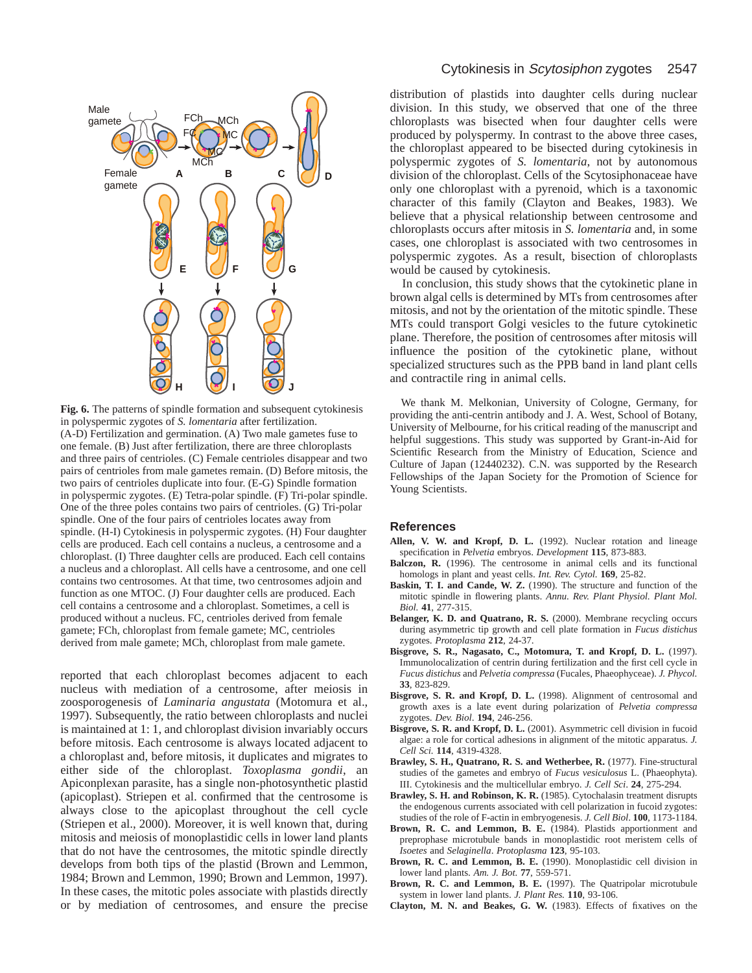

**Fig. 6.** The patterns of spindle formation and subsequent cytokinesis in polyspermic zygotes of *S. lomentaria* after fertilization. (A-D) Fertilization and germination. (A) Two male gametes fuse to one female. (B) Just after fertilization, there are three chloroplasts and three pairs of centrioles. (C) Female centrioles disappear and two pairs of centrioles from male gametes remain. (D) Before mitosis, the two pairs of centrioles duplicate into four. (E-G) Spindle formation in polyspermic zygotes. (E) Tetra-polar spindle. (F) Tri-polar spindle. One of the three poles contains two pairs of centrioles. (G) Tri-polar spindle. One of the four pairs of centrioles locates away from spindle. (H-I) Cytokinesis in polyspermic zygotes. (H) Four daughter cells are produced. Each cell contains a nucleus, a centrosome and a chloroplast. (I) Three daughter cells are produced. Each cell contains a nucleus and a chloroplast. All cells have a centrosome, and one cell contains two centrosomes. At that time, two centrosomes adjoin and function as one MTOC. (J) Four daughter cells are produced. Each cell contains a centrosome and a chloroplast. Sometimes, a cell is produced without a nucleus. FC, centrioles derived from female gamete; FCh, chloroplast from female gamete; MC, centrioles derived from male gamete; MCh, chloroplast from male gamete.

reported that each chloroplast becomes adjacent to each nucleus with mediation of a centrosome, after meiosis in zoosporogenesis of *Laminaria angustata* (Motomura et al., 1997). Subsequently, the ratio between chloroplasts and nuclei is maintained at 1: 1, and chloroplast division invariably occurs before mitosis. Each centrosome is always located adjacent to a chloroplast and, before mitosis, it duplicates and migrates to either side of the chloroplast. *Toxoplasma gondii*, an Apiconplexan parasite, has a single non-photosynthetic plastid (apicoplast). Striepen et al. confirmed that the centrosome is always close to the apicoplast throughout the cell cycle (Striepen et al., 2000). Moreover, it is well known that, during mitosis and meiosis of monoplastidic cells in lower land plants that do not have the centrosomes, the mitotic spindle directly develops from both tips of the plastid (Brown and Lemmon, 1984; Brown and Lemmon, 1990; Brown and Lemmon, 1997). In these cases, the mitotic poles associate with plastids directly or by mediation of centrosomes, and ensure the precise

# Cytokinesis in Scytosiphon zygotes 2547

distribution of plastids into daughter cells during nuclear division. In this study, we observed that one of the three chloroplasts was bisected when four daughter cells were produced by polyspermy. In contrast to the above three cases, the chloroplast appeared to be bisected during cytokinesis in polyspermic zygotes of *S. lomentaria*, not by autonomous division of the chloroplast. Cells of the Scytosiphonaceae have only one chloroplast with a pyrenoid, which is a taxonomic character of this family (Clayton and Beakes, 1983). We believe that a physical relationship between centrosome and chloroplasts occurs after mitosis in *S. lomentaria* and, in some cases, one chloroplast is associated with two centrosomes in polyspermic zygotes. As a result, bisection of chloroplasts would be caused by cytokinesis.

In conclusion, this study shows that the cytokinetic plane in brown algal cells is determined by MTs from centrosomes after mitosis, and not by the orientation of the mitotic spindle. These MTs could transport Golgi vesicles to the future cytokinetic plane. Therefore, the position of centrosomes after mitosis will influence the position of the cytokinetic plane, without specialized structures such as the PPB band in land plant cells and contractile ring in animal cells.

We thank M. Melkonian, University of Cologne, Germany, for providing the anti-centrin antibody and J. A. West, School of Botany, University of Melbourne, for his critical reading of the manuscript and helpful suggestions. This study was supported by Grant-in-Aid for Scientific Research from the Ministry of Education, Science and Culture of Japan (12440232). C.N. was supported by the Research Fellowships of the Japan Society for the Promotion of Science for Young Scientists.

# **References**

- **Allen, V. W. and Kropf, D. L.** (1992). Nuclear rotation and lineage specification in *Pelvetia* embryos. *Development* **115**, 873-883.
- **Balczon, R.** (1996). The centrosome in animal cells and its functional homologs in plant and yeast cells. *Int. Rev. Cytol.* **169**, 25-82.
- **Baskin, T. I. and Cande, W. Z.** (1990). The structure and function of the mitotic spindle in flowering plants. *Annu. Rev. Plant Physiol. Plant Mol. Biol.* **41**, 277-315.
- Belanger, K. D. and Quatrano, R. S. (2000). Membrane recycling occurs during asymmetric tip growth and cell plate formation in *Fucus distichus* zygotes. *Protoplasma* **212**, 24-37.
- **Bisgrove, S. R., Nagasato, C., Motomura, T. and Kropf, D. L.** (1997). Immunolocalization of centrin during fertilization and the first cell cycle in *Fucus distichus* and *Pelvetia compressa* (Fucales, Phaeophyceae). *J. Phycol.* **33**, 823-829.
- **Bisgrove, S. R. and Kropf, D. L.** (1998). Alignment of centrosomal and growth axes is a late event during polarization of *Pelvetia compressa* zygotes. *Dev. Biol*. **194**, 246-256.
- **Bisgrove, S. R. and Kropf, D. L.** (2001). Asymmetric cell division in fucoid algae: a role for cortical adhesions in alignment of the mitotic apparatus. *J. Cell Sci.* **114**, 4319-4328.
- Brawley, S. H., Quatrano, R. S. and Wetherbee, R. (1977). Fine-structural studies of the gametes and embryo of *Fucus vesiculosus* L. (Phaeophyta). III. Cytokinesis and the multicellular embryo. *J. Cell Sci*. **24**, 275-294.
- **Brawley, S. H. and Robinson, K. R.** (1985). Cytochalasin treatment disrupts the endogenous currents associated with cell polarization in fucoid zygotes: studies of the role of F-actin in embryogenesis. *J. Cell Biol*. **100**, 1173-1184.
- **Brown, R. C. and Lemmon, B. E.** (1984). Plastids apportionment and preprophase microtubule bands in monoplastidic root meristem cells of *Isoetes* and *Selaginella*. *Protoplasma* **123**, 95-103.
- **Brown, R. C. and Lemmon, B. E.** (1990). Monoplastidic cell division in lower land plants. *Am. J. Bot.* **77**, 559-571.
- **Brown, R. C. and Lemmon, B. E.** (1997). The Quatripolar microtubule system in lower land plants. *J. Plant Res.* **110**, 93-106.
- **Clayton, M. N. and Beakes, G. W.** (1983). Effects of fixatives on the